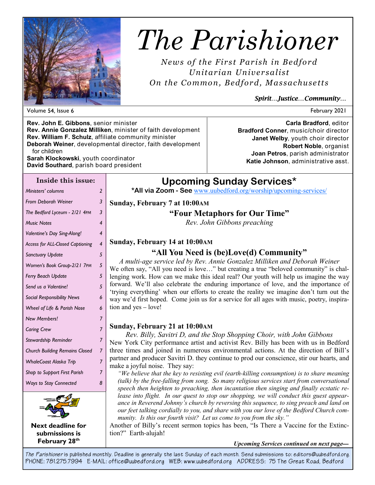

# *The Parishioner*

*News of the First Parish in Bedford Unitarian Unive rsalist On the Common, Bedfor d, Massachuse tts* 

### *Spirit…Justice…Community…*

**Rev. John E. Gibbons**, senior minister **Rev. Annie Gonzalez Milliken**, minister of faith development **Rev. William F. Schulz**, affiliate community minister **Deborah Weiner**, developmental director, faith development for children **Sarah Klockowski**, youth coordinator

**David Southard**, parish board president

### **Inside this issue:**

*Ministers' columns 2 From Deborah Weiner 3 The Bedford Lyceum - 2/21 4PM 3 Music Notes 4 Valentine's Day Sing-Along! 4 Access for ALL-Closed Captioning 4 Sanctuary Update 5 Women's Book Group-2/21 7PM 5 Ferry Beach Update 5 Send us a Valentine! 5 Social Responsibility News 6 Wheel of Life & Parish Nose 6 New Members! 7 Caring Crew 7 Stewardship Reminder 7 Church Building Remains Closed 7 WhaleCoast Alaska Trip 7 Shop to Support First Parish 7 Ways to Stay Connected 8* 



**Next deadline for submissions is February 28th**

**Carla Bradford**, editor **Bradford Conner**, music/choir director **Janet Welby**, youth choir director **Robert Noble**, organist **Joan Petros**, parish administrator **Katie Johnson**, administrative asst.

# **Upcoming Sunday Services\***

**\*All via Zoom - See** www.uubedford.org/worship/upcoming-services/

### **Sunday, February 7 at 10:00AM**

### **"Four Metaphors for Our Time"**

*Rev. John Gibbons preaching*

### **Sunday, February 14 at 10:00AM**

## **"All You Need is (be)Love(d) Community"**

*A multi-age service led by Rev. Annie Gonzalez Milliken and Deborah Weiner* We often say, "All you need is love..." but creating a true "beloved community" is challenging work. How can we make this ideal real? Our youth will help us imagine the way forward. We'll also celebrate the enduring importance of love, and the importance of 'trying everything' when our efforts to create the reality we imagine don't turn out the way we'd first hoped. Come join us for a service for all ages with music, poetry, inspiration and yes – love!

### **Sunday, February 21 at 10:00AM**

*Rev. Billy, Savitri D, and the Stop Shopping Choir, with John Gibbons* New York City performance artist and activist Rev. Billy has been with us in Bedford three times and joined in numerous environmental actions. At the direction of Bill's partner and producer Savitri D. they continue to prod our conscience, stir our hearts, and make a joyful noise. They say:

*"We believe that the key to resisting evil (earth-killing consumption) is to share meaning (talk) by the free-falling from song. So many religious services start from conversational speech then heighten to preaching, then incantation then singing and finally ecstatic release into flight. In our quest to stop our shopping, we will conduct this guest appearance in Reverend Johnny's church by reversing this sequence, to sing preach and land on our feet talking cordially to you, and share with you our love of the Bedford Church community. Is this our fourth visit? Let us come to you from the sky."*

Another of Billy's recent sermon topics has been, "Is There a Vaccine for the Extinction?" Earth-alujah!

#### *Upcoming Services continued on next page—*

*The Parishioner* **is published monthly. Deadline is generally the last Sunday of each month. Send submissions to: editors@uubedford.org. PHONE: 781.275.7994 E-MAIL: office@uubedford.org WEB: www.uubedford.org ADDRESS: 75 The Great Road, Bedford**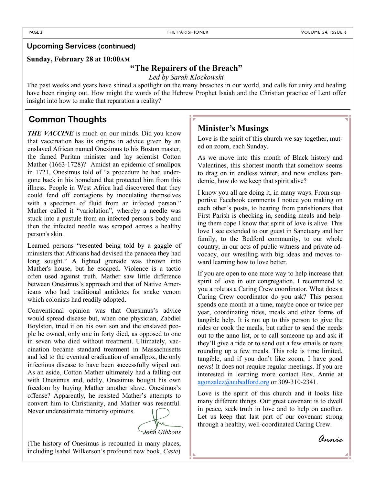### **Upcoming Services (continued)**

### **Sunday, February 28 at 10:00AM**

### **"The Repairers of the Breach"**

*Led by Sarah Klockowski*

The past weeks and years have shined a spotlight on the many breaches in our world, and calls for unity and healing have been ringing out. How might the words of the Hebrew Prophet Isaiah and the Christian practice of Lent offer insight into how to make that reparation a reality?

### **Common Thoughts**

**THE VACCINE** is much on our minds. Did you know that vaccination has its origins in advice given by an enslaved African named Onesimus to his Boston master, the famed Puritan minister and lay scientist Cotton Mather (1663-1728)? Amidst an epidemic of smallpox in 1721, Onesimus told of "a procedure he had undergone back in his homeland that protected him from this illness. People in West Africa had discovered that they could fend off contagions by inoculating themselves with a specimen of fluid from an infected person." Mather called it "variolation", whereby a needle was stuck into a pustule from an infected person's body and then the infected needle was scraped across a healthy person's skin.

Learned persons "resented being told by a gaggle of ministers that Africans had devised the panacea they had long sought." A lighted grenade was thrown into Mather's house, but he escaped. Violence is a tactic often used against truth. Mather saw little difference between Onesimus's approach and that of Native Americans who had traditional antidotes for snake venom which colonists had readily adopted.

Conventional opinion was that Onesimus's advice would spread disease but, when one physician, Zabdiel Boylston, tried it on his own son and the enslaved people he owned, only one in forty died, as opposed to one in seven who died without treatment. Ultimately, vaccination became standard treatment in Massachusetts and led to the eventual eradication of smallpox, the only infectious disease to have been successfully wiped out. As an aside, Cotton Mather ultimately had a falling out with Onesimus and, oddly, Onesimus bought his own freedom by buying Mather another slave. Onesimus's offense? Apparently, he resisted Mather's attempts to convert him to Christianity, and Mather was resentful. Never underestimate minority opinions.

*John Gibbons*

(The history of Onesimus is recounted in many places, including Isabel Wilkerson's profound new book, *Caste*)

### **Minister's Musings**

Love is the spirit of this church we say together, muted on zoom, each Sunday.

As we move into this month of Black history and Valentines, this shortest month that somehow seems to drag on in endless winter, and now endless pandemic, how do we keep that spirit alive?

I know you all are doing it, in many ways. From supportive Facebook comments I notice you making on each other's posts, to hearing from parishioners that First Parish is checking in, sending meals and helping them cope I know that spirit of love is alive. This love I see extended to our guest in Sanctuary and her family, to the Bedford community, to our whole country, in our acts of public witness and private advocacy, our wrestling with big ideas and moves toward learning how to love better.

If you are open to one more way to help increase that spirit of love in our congregation, I recommend to you a role as a Caring Crew coordinator. What does a Caring Crew coordinator do you ask? This person spends one month at a time, maybe once or twice per year, coordinating rides, meals and other forms of tangible help. It is not up to this person to give the rides or cook the meals, but rather to send the needs out to the anno list, or to call someone up and ask if they'll give a ride or to send out a few emails or texts rounding up a few meals. This role is time limited, tangible, and if you don't like zoom, I have good news! It does not require regular meetings. If you are interested in learning more contact Rev. Annie at agonzalez@uubedford.org or 309-310-2341.

Love is the spirit of this church and it looks like many different things. Our great covenant is to dwell in peace, seek truth in love and to help on another. Let us keep that last part of our covenant strong through a healthy, well-coordinated Caring Crew.

*Annie*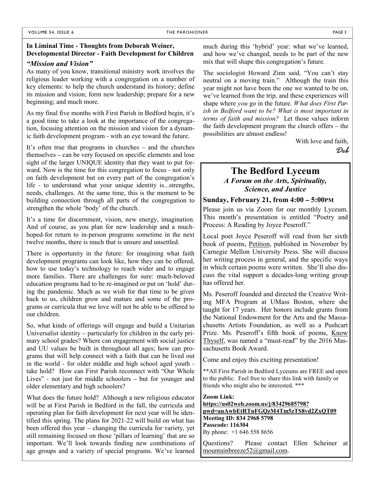### **In Liminal Time - Thoughts from Deborah Weiner, Developmental Director - Faith Development for Children**

#### *"Mission and Vision"*

As many of you know, transitional ministry work involves the religious leader working with a congregation on a number of key elements: to help the church understand its history; define its mission and vision; form new leadership; prepare for a new beginning; and much more.

As my final five months with First Parish in Bedford begin, it's a good time to take a look at the importance of the congregation, focusing attention on the mission and vision for a dynamic faith development program - with an eye toward the future.

It's often true that programs in churches – and the churches themselves – can be very focused on specific elements and lose sight of the larger UNIQUE identity that they want to put forward. Now is the time for this congregation to focus - not only on faith development but on every part of the congregation's life - to understand what your unique identity is...strengths, needs, challenges. At the same time, this is the moment to be building connection through all parts of the congregation to strengthen the whole 'body' of the church.

It's a time for discernment, vision, new energy, imagination. And of course, as you plan for new leadership and a muchhoped-for return to in-person programs sometime in the next twelve months, there is much that is unsure and unsettled.

There is opportunity in the future: for imagining what faith development programs can look like, how they can be offered, how to use today's technology to reach wider and to engage more families. There are challenges for sure: much-beloved education programs had to be re-imagined or put on 'hold' during the pandemic. Much as we wish for that time to be given back to us, children grow and mature and some of the programs or curricula that we love will not be able to be offered to our children.

So, what kinds of offerings will engage and build a Unitarian Universalist identity – particularly for children in the early primary school grades? Where can engagement with social justice and UU values be built in throughout all ages; how can programs that will help connect with a faith that can be lived out in the world - for older middle and high school aged youth take hold? How can First Parish reconnect with "Our Whole Lives" - not just for middle schoolers – but for younger and older elementary and high schoolers?

What does the future hold? Although a new religious educator will be at First Parish in Bedford in the fall, the curricula and operating plan for faith development for next year will be identified this spring. The plans for 2021-22 will build on what has been offered this year – changing the curricula for variety, yet still remaining focused on those 'pillars of learning' that are so important. We'll look towards finding new combinations of age groups and a variety of special programs. We've learned much during this 'hybrid' year: what we've learned, and how we've changed, needs to be part of the new mix that will shape this congregation's future.

The sociologist Howard Zinn said, "You can't stay neutral on a moving train." Although the train this year might not have been the one we wanted to be on, we've learned from the trip, and these experiences will shape where *you* go in the future. *What does First Parish in Bedford want to be? What is most important in terms of faith and mission?* Let those values inform the faith development program the church offers – the possibilities are almost endless!

> With love and faith, *Deb*

# **The Bedford Lyceum**

*A Forum on the Arts, Spirituality, Science, and Justice*

### **Sunday, February 21, from 4:00 – 5:00PM**

Please join us via Zoom for our monthly Lyceum. This month's presentation is entitled "Poetry and Process: A Reading by Joyce Peseroff."

Local poet Joyce Peseroff will read from her sixth book of poems, Petition, published in November by Carnegie Mellon University Press. She will discuss her writing process in general, and the specific ways in which certain poems were written. She'll also discuss the vital support a decades-long writing group has offered her.

Ms. Peseroff founded and directed the Creative Writing MFA Program at UMass Boston, where she taught for 17 years. Her honors include grants from the National Endowment for the Arts and the Massachusetts Artists Foundation, as well as a Pushcart Prize. Ms. Peseroff's fifth book of poems, Know Thyself, was named a "must-read" by the 2016 Massachusetts Book Award.

Come and enjoy this exciting presentation!

\*\*All First Parish in Bedford Lyceums are FREE and open to the public. Feel free to share this link with family or friends who might also be interested. \*\*\*

**Zoom Link: https://us02web.zoom.us/j/83429685798? pwd=anAwbEtRTnFGQzM4Tm5zTS8vd2ZxQT09 Meeting ID: 834 2968 5798 Passcode: 116304** By phone: +1 646 558 8656

Questions? Please contact Ellen Scheiner at mountainbreeze52@gmail.com.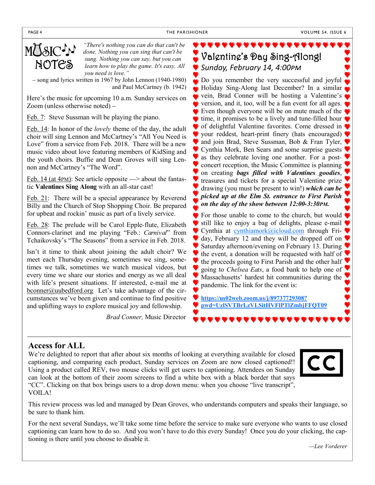PAGE 4 THE PARISHIONER



*"There's nothing you can do that can't be done. Nothing you can sing that can't be sung. Nothing you can say, but you can learn how to play the game. It's easy. All you need is love."*

– song and lyrics written in 1967 by John Lennon (1940-1980) and Paul McCartney (b. 1942)

Here's the music for upcoming 10 a.m. Sunday services on Zoom (unless otherwise noted) –

Feb. 7: Steve Sussman will be playing the piano.

Feb. 14: In honor of the *lovely* theme of the day, the adult choir will sing Lennon and McCartney's "All You Need is Love" from a service from Feb. 2018. There will be a new music video about love featuring members of KidSing and the youth choirs. Buffie and Dean Groves will sing Lennon and McCartney's "The Word".

Feb. 14 (at 4PM): See article opposite  $\Rightarrow$  about the fantastic **Valentines Sing Along** with an all-star cast!

Feb. 21: There will be a special appearance by Reverend Billy and the Church of Stop Shopping Choir. Be prepared for upbeat and rockin' music as part of a lively service.

Feb. 28: The prelude will be Carol Epple-flute, Elizabeth Connors-clarinet and me playing "Feb.: *Carnival*" from Tchaikovsky's "The Seasons" from a service in Feb. 2018.

Isn't it time to think about joining the adult choir? We meet each Thursday evening, sometimes we sing, sometimes we talk, sometimes we watch musical videos, but every time we share our stories and energy as we all deal with life's present situations. If interested, e-mail me at bconner@uubedford.org Let's take advantage of the circumstances we've been given and continue to find positive and uplifting ways to explore musical joy and fellowship.

*Brad Conner,* Music Director

Valentine's Day Sing-Along! **Sunday, February 14, 4:00PM** 

Do you remember the very successful and joyful Holiday Sing-Along last December? In a similar vein, Brad Conner will be hosting a Valentine's version, and it, too, will be a fun event for all ages. Even though everyone will be on mute much of the time, it promises to be a lively and tune-filled hour of delightful Valentine favorites. Come dressed in your reddest, heart-print finery (hats encouraged) and join Brad, Steve Sussman, Bob & Fran Tyler, Cynthia Mork, Ben Sears and some surprise guests as they celebrate loving one another. For a postconcert reception, the Music Committee is planning on creating *bags filled with Valentines goodies*, treasures and tickets for a special Valentine prize drawing (you must be present to win!) *which can be picked up at the Elm St. entrance to First Parish on the day of the show between 12:00-3:30PM.*

For those unable to come to the church, but would still like to enjoy a bag of delights, please e-mail Cynthia at cynthiamork@icloud.com through Friday, February 12 and they will be dropped off on Saturday afternoon/evening on February 13. During the event, a donation will be requested with half of  $\blacktriangledown$ the proceeds going to First Parish and the other half going to *Chelsea Eats*, a food bank to help one of Massachusetts' hardest hit communities during the pandemic. The link for the event is:

**https://us02web.zoom.us/j/89737729308? pwd=UzlSVTBrLzVLSitHVFlPTlZmbjFFQT09**

### **Access for ALL**

We're delighted to report that after about six months of looking at everything available for closed captioning, and comparing each product, Sunday services on Zoom are now closed captioned!! Using a product called REV, two mouse clicks will get users to captioning. Attendees on Sunday can look at the bottom of their zoom screens to find a white box with a black border that says "CC". Clicking on that box brings users to a drop down menu: when you choose "live transcript", VOILA!



This review process was led and managed by Dean Groves, who understands computers and speaks their language, so be sure to thank him.

For the next several Sundays, we'll take some time before the service to make sure everyone who wants to use closed captioning can learn how to do so. And you won't have to do this every Sunday! Once you do your clicking, the captioning is there until you choose to disable it.

*—Lee Vorderer*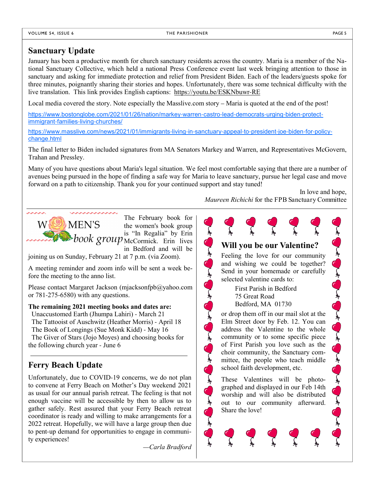### **Sanctuary Update**

January has been a productive month for church sanctuary residents across the country. Maria is a member of the National Sanctuary Collective, which held a national Press Conference event last week bringing attention to those in sanctuary and asking for immediate protection and relief from President Biden. Each of the leaders/guests spoke for three minutes, poignantly sharing their stories and hopes. Unfortunately, there was some technical difficulty with the live translation. This link provides English captions: https://youtu.be/ESKNbuwr-RE

Local media covered the story. Note especially the Masslive.com story – Maria is quoted at the end of the post!

https://www.bostonglobe.com/2021/01/26/nation/markey-warren-castro-lead-democrats-urging-biden-protectimmigrant-families-living-churches/

https://www.masslive.com/news/2021/01/immigrants-living-in-sanctuary-appeal-to-president-joe-biden-for-policychange.html

The final letter to Biden included signatures from MA Senators Markey and Warren, and Representatives McGovern, Trahan and Pressley.

Many of you have questions about Maria's legal situation. We feel most comfortable saying that there are a number of avenues being pursued in the hope of finding a safe way for Maria to leave sanctuary, pursue her legal case and move forward on a path to citizenship. Thank you for your continued support and stay tuned!

Control of Control Control

Control of Contract

**DANEN'S** W\

The February book for the women's book group is "In Regalia" by Erin  $\blacktriangleright$ book group  $_{\text{McComick.}}^{\text{in}}$  Frin lives in Bedford and will be

joining us on Sunday, February 21 at 7 p.m. (via Zoom).

A meeting reminder and zoom info will be sent a week before the meeting to the anno list.

Please contact Margaret Jackson (mjacksonfpb@yahoo.com or 781-275-6580) with any questions.

**The remaining 2021 meeting books and dates are:**

 Unaccustomed Earth (Jhumpa Lahiri) - March 21 The Tattooist of Auschwitz (Heather Morris) - April 18 The Book of Longings (Sue Monk Kidd) - May 16 The Giver of Stars (Jojo Moyes) and choosing books for the following church year - June 6

# **Ferry Beach Update**

Unfortunately, due to COVID-19 concerns, we do not plan to convene at Ferry Beach on Mother's Day weekend 2021 as usual for our annual parish retreat. The feeling is that not enough vaccine will be accessible by then to allow us to gather safely. Rest assured that your Ferry Beach retreat coordinator is ready and willing to make arrangements for a 2022 retreat. Hopefully, we will have a large group then due to pent-up demand for opportunities to engage in community experiences!

*—Carla Bradford*

In love and hope, *Maureen Richichi* for the FPB Sanctuary Committee

# **Will you be our Valentine?** Feeling the love for our community and wishing we could be together? Send in your homemade or carefully selected valentine cards to: First Parish in Bedford 75 Great Road Bedford, MA 01730 or drop them off in our mail slot at the Elm Street door by Feb. 12. You can address the Valentine to the whole community or to some specific piece of First Parish you love such as the choir community, the Sanctuary committee, the people who teach middle school faith development, etc. These Valentines will be photographed and displayed in our Feb 14th worship and will also be distributed out to our community afterward. Share the love!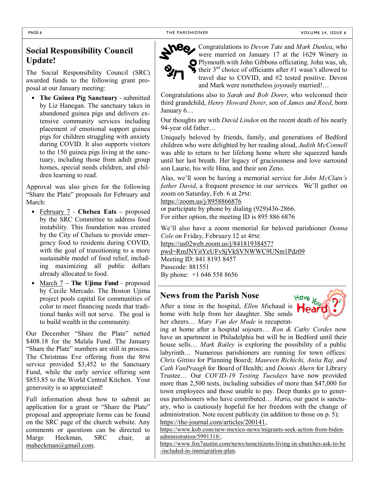# **Social Responsibility Council Update!**

The Social Responsibility Council (SRC) awarded funds to the following grant proposal at our January meeting:

• **The Guinea Pig Sanctuary** - submitted by Liz Hanegan. The sanctuary takes in abandoned guinea pigs and delivers extensive community services including placement of emotional support guinea pigs for children struggling with anxiety during COVID. It also supports visitors to the 150 guinea pigs living at the sanctuary, including those from adult group homes, special needs children, and children learning to read.

Approval was also given for the following "Share the Plate" proposals for February and March:

- February 7 **Chelsea Eats** proposed by the SRC Committee to address food instability. This foundation was created by the City of Chelsea to provide emergency food to residents during COVID, with the goal of transitioning to a more sustainable model of food relief, including maximizing all public dollars already allocated to food.
- March 7 **The Ujima Fund** proposed by Cecile Mercado. The Boston Ujima project pools capital for communities of color to meet financing needs that traditional banks will not serve. The goal is to build wealth in the community.

Our December "Share the Plate" netted \$408.18 for the Malala Fund. The January "Share the Plate" numbers are still in process. The Christmas Eve offering from the 8PM service provided \$3,452 to the Sanctuary Fund, while the early service offering sent \$853.85 to the World Central Kitchen. Your generosity is so appreciated!

Full information about how to submit an application for a grant or "Share the Plate" proposal and appropriate forms can be found on the SRC page of the church website. Any comments or questions can be directed to Marge Heckman, SRC chair, at maheckman@gmail.com.



Congratulations to *Devon Tate* and *Mark Dunlea*, who were married on January 17 at the 1629 Winery in Plymouth with John Gibbons officiating. John was, uh, their  $3<sup>rd</sup>$  choice of officiants after #1 wasn't allowed to travel due to COVID, and #2 tested positive. Devon and Mark were nonetheless joyously married!…

Congratulations also to *Sarah and Bob Dorer*, who welcomed their third grandchild, *Henry Howard Dorer*, son of *James and Reed*, born January 6…

Our thoughts are with *David Linden* on the recent death of his nearly 94-year old father…

Uniquely beloved by friends, family, and generations of Bedford children who were delighted by her reading aloud, *Judith McConnell*  was able to return to her lifelong home where she squeezed hands until her last breath. Her legacy of graciousness and love surround son Laurie, his wife Hina, and their son Zeno.

Alas, we'll soon be having a memorial service for *John McClain's father David*, a frequent presence in our services. We'll gather on zoom on Saturday, Feb. 6 at 2PM:

https://zoom.us/j/8958866876 or participate by phone by dialing (929)436-2866. For either option, the meeting ID is 895 886 6876

We'll also have a zoom memorial for beloved parishioner *Donna Cole* on Friday, February 12 at 4PM: https://us02web.zoom.us/j/84181938457?

pwd=RmJNYitYeUFvSjVkSVNWWC9UNm1Pdz09 Meeting ID: 841 8193 8457

Passcode: 881551 By phone: +1 646 558 8656

# **News from the Parish Nose**

After a time in the hospital, *Ellen M*ichaud is home with help from her daughter. She sends her cheers… *Mary Van der Mude* is recuperat-



ing at home after a hospital sojourn… *Ron & Cathy Cordes* now have an apartment in Philadelphia but will be in Bedford until their house sells… *Mark Bailey* is exploring the possibility of a public labyrinth… Numerous parishioners are running for town offices: *Chris Gittins* for Planning Board; *Maureen Richichi, Anita Raj, and Cath VanPraagh* for Board of Health; and *Dennis Ahern* for Library Trustee… Our *COVID-19 Testing Tuesdays* have now provided more than 2,500 tests, including subsidies of more than \$47,000 for town employees and those unable to pay. Deep thanks go to generous parishioners who have contributed… *Maria*, our guest is sanctuary, who is cautiously hopeful for her freedom with the change of administration. Note recent publicity (in addition to those on p. 5): https://the-journal.com/articles/200141,

https://www.kob.com/new-mexico-news/migrants-seek-action-from-bidenadministration/5991318/,

https://www.fox7austin.com/news/noncitizens-living-in-churches-ask-to-be -included-in-immigration-plan.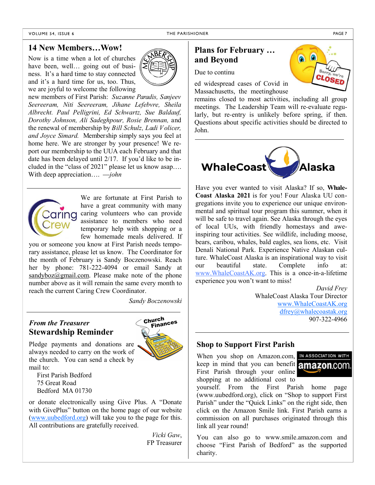### **14 New Members…Wow!**

Now is a time when a lot of churches have been, well... going out of business. It's a hard time to stay connected and it's a hard time for us, too. Thus, we are joyful to welcome the following



new members of First Parish: *Suzanne Paradis, Sanjeev Seereeram, Niti Seereeram, Jihane Lefebvre, Sheila Albrecht. Paul Pelligrini, Ed Schwartz, Sue Baldauf, Dorothy Johnson, Ali Sadeghpour, Rosie Brennan,* and the renewal of membership by *Bill Schulz, Ladi Volicer, and Joyce Simard.* Membership simply says you feel at home here. We are stronger by your presence! We report our membership to the UUA each February and that date has been delayed until 2/17. If you'd like to be included in the "class of 2021" please let us know asap…. With deep appreciation…. —*john*



We are fortunate at First Parish to have a great community with many caring volunteers who can provide assistance to members who need temporary help with shopping or a few homemade meals delivered. If

you or someone you know at First Parish needs temporary assistance, please let us know. The Coordinator for the month of February is Sandy Boczenowski. Reach her by phone: 781-222-4094 or email Sandy at  $sandybox@gmail.com$ . Please make note of the phone number above as it will remain the same every month to reach the current Caring Crew Coordinator.

*Sandy Boczenowski*

### *From the Treasurer* **Stewardship Reminder**



Pledge payments and donations are always needed to carry on the work of the church. You can send a check by mail to:

First Parish Bedford 75 Great Road Bedford MA 01730

or donate electronically using Give Plus. A "Donate with GivePlus" button on the home page of our website (www.uubedford.org) will take you to the page for this. All contributions are gratefully received.

> *Vicki Gaw*, FP Treasurer

# **Plans for February … and Beyond**

Due to continu

ed widespread cases of Covid in Massachusetts, the meetinghouse

remains closed to most activities, including all group meetings. The Leadership Team will re-evaluate regularly, but re-entry is unlikely before spring, if then. Questions about specific activities should be directed to John.



Have you ever wanted to visit Alaska? If so, **Whale-Coast Alaska 2021** is for you! Four Alaska UU congregations invite you to experience our unique environmental and spiritual tour program this summer, when it will be safe to travel again. See Alaska through the eyes of local UUs, with friendly homestays and aweinspiring tour activities. See wildlife, including moose, bears, caribou, whales, bald eagles, sea lions, etc. Visit Denali National Park. Experience Native Alaskan culture. WhaleCoast Alaska is an inspirational way to visit our beautiful state. Complete info at: www.WhaleCoastAK.org. This is a once-in-a-lifetime experience you won't want to miss!

> *David Frey* WhaleCoast Alaska Tour Director www.WhaleCoastAK.org dfrey@whalecoastak.org 907-322-4966

### **Shop to Support First Parish**

When you shop on Amazon.com, IN ASSOCIATION WITH keep in mind that you can benefit **amazon.com** First Parish through your online shopping at no additional cost to



yourself. From the First Parish home page (www.uubedford.org), click on "Shop to support First Parish" under the "Quick Links" on the right side, then click on the Amazon Smile link. First Parish earns a commission on all purchases originated through this link all year round!

You can also go to www.smile.amazon.com and choose "First Parish of Bedford" as the supported charity.

we'<sub>re</sub> **CLOSET**